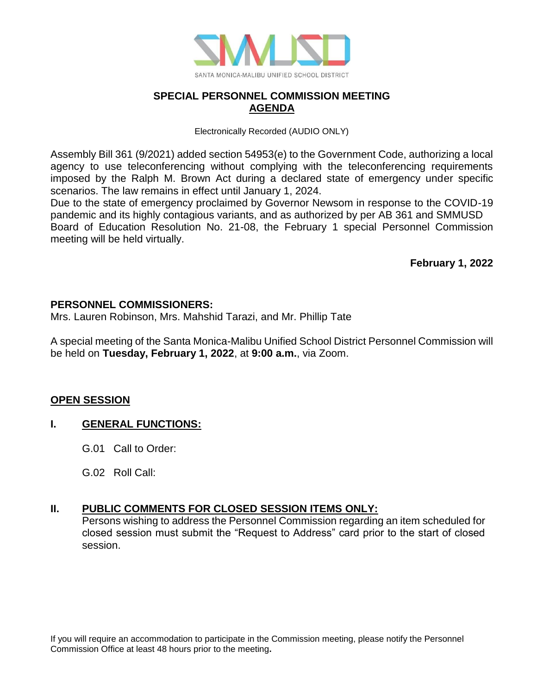

# **SPECIAL PERSONNEL COMMISSION MEETING AGENDA**

Electronically Recorded (AUDIO ONLY)

Assembly Bill 361 (9/2021) added section 54953(e) to the Government Code, authorizing a local agency to use teleconferencing without complying with the teleconferencing requirements imposed by the Ralph M. Brown Act during a declared state of emergency under specific scenarios. The law remains in effect until January 1, 2024.

Due to the state of emergency proclaimed by Governor Newsom in response to the COVID-19 pandemic and its highly contagious variants, and as authorized by per AB 361 and SMMUSD Board of Education Resolution No. 21-08, the February 1 special Personnel Commission meeting will be held virtually.

**February 1, 2022**

#### **PERSONNEL COMMISSIONERS:**

Mrs. Lauren Robinson, Mrs. Mahshid Tarazi, and Mr. Phillip Tate

A special meeting of the Santa Monica-Malibu Unified School District Personnel Commission will be held on **Tuesday, February 1, 2022**, at **9:00 a.m.**, via Zoom.

# **OPEN SESSION**

#### **I. GENERAL FUNCTIONS:**

- G.01 Call to Order:
- G.02 Roll Call:

#### **II. PUBLIC COMMENTS FOR CLOSED SESSION ITEMS ONLY:**

Persons wishing to address the Personnel Commission regarding an item scheduled for closed session must submit the "Request to Address" card prior to the start of closed session.